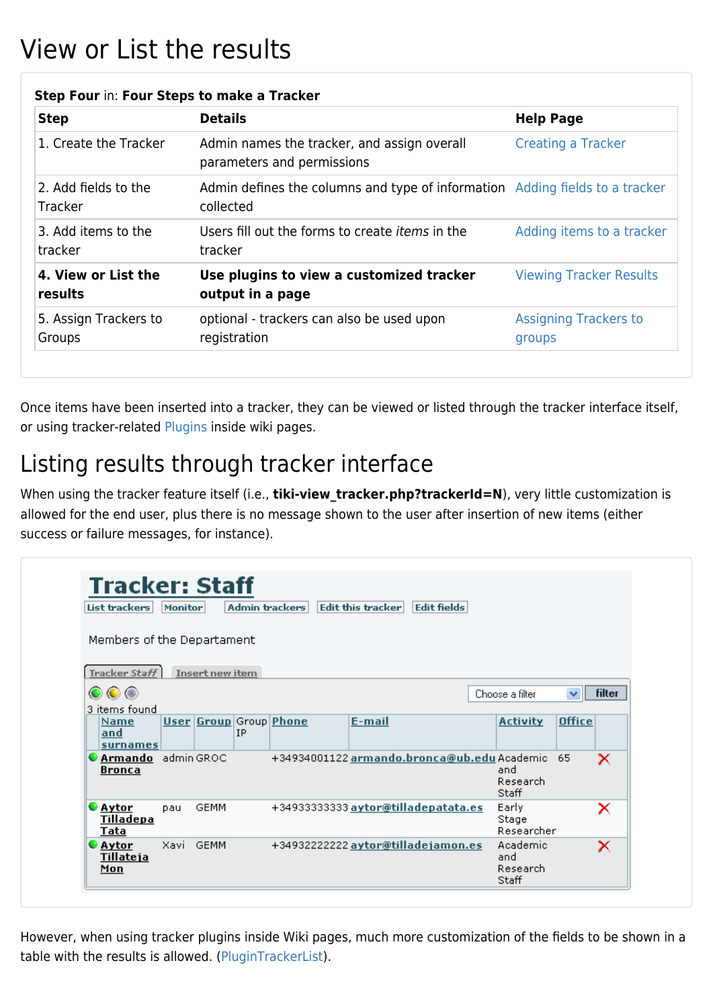# View or List the results

| <b>Step</b>                            | <b>Details</b>                                                                            | <b>Help Page</b>                       |  |  |
|----------------------------------------|-------------------------------------------------------------------------------------------|----------------------------------------|--|--|
| 1. Create the Tracker                  | Admin names the tracker, and assign overall<br>parameters and permissions                 | <b>Creating a Tracker</b>              |  |  |
| 2. Add fields to the<br><b>Tracker</b> | Admin defines the columns and type of information Adding fields to a tracker<br>collected |                                        |  |  |
| 3. Add items to the<br>tracker         | Users fill out the forms to create <i>items</i> in the<br>tracker                         | Adding items to a tracker              |  |  |
| 4. View or List the<br>results         | Use plugins to view a customized tracker<br>output in a page                              | <b>Viewing Tracker Results</b>         |  |  |
| 5. Assign Trackers to<br>Groups        | optional - trackers can also be used upon<br>registration                                 | <b>Assigning Trackers to</b><br>groups |  |  |

#### **Step Four** in: **Four Steps to make a Tracker**

Once items have been inserted into a tracker, they can be viewed or listed through the tracker interface itself, or using tracker-related [Plugins](https://doc.tiki.org/Plugins) inside wiki pages.

## Listing results through tracker interface

When using the tracker feature itself (i.e., **tiki-view\_tracker.php?trackerId=N**), very little customization is allowed for the end user, plus there is no message shown to the user after insertion of new items (either success or failure messages, for instance).

| List trackers                              | <b>Monitor</b> |                        |           | Admin trackers         | Edit this tracker<br><b>Edit fields</b>     |                                      |               |               |
|--------------------------------------------|----------------|------------------------|-----------|------------------------|---------------------------------------------|--------------------------------------|---------------|---------------|
| Members of the Departament                 |                |                        |           |                        |                                             |                                      |               |               |
| Tracker Staff                              |                | <b>Insert new item</b> |           |                        |                                             |                                      |               |               |
| $\circ\circ$<br>3 items found              |                |                        |           |                        |                                             | Choose a filter                      | $\checkmark$  | <b>filter</b> |
| <b>Name</b><br>and<br>surnames             |                |                        | <b>IP</b> | User Group Group Phone | E-mail                                      | <b>Activity</b>                      | <b>Office</b> |               |
| <b>CArmando</b> admin GROC<br>Bronca       |                |                        |           |                        | +34934001122 armando.bronca@ub.edu Academic | and<br>Research<br>Staff             | 65            | ×             |
| <b>S</b> Aytor<br>Tilladepa<br><b>Tata</b> | <b>Dau</b>     | <b>GEMM</b>            |           |                        | +349333333333 aytor@tilladepatata.es        | Early.<br>Stage<br>Researcher        |               | ×             |
| <b>C</b> Aytor<br>Tillateja<br>Mon         | Xavi           | <b>GEMM</b>            |           |                        | +349322222222 aytor@tilladejamon.es         | Academic<br>and<br>Research<br>Staff |               | ×             |

However, when using tracker plugins inside Wiki pages, much more customization of the fields to be shown in a table with the results is allowed. ([PluginTrackerList\)](https://doc.tiki.org/PluginTrackerList).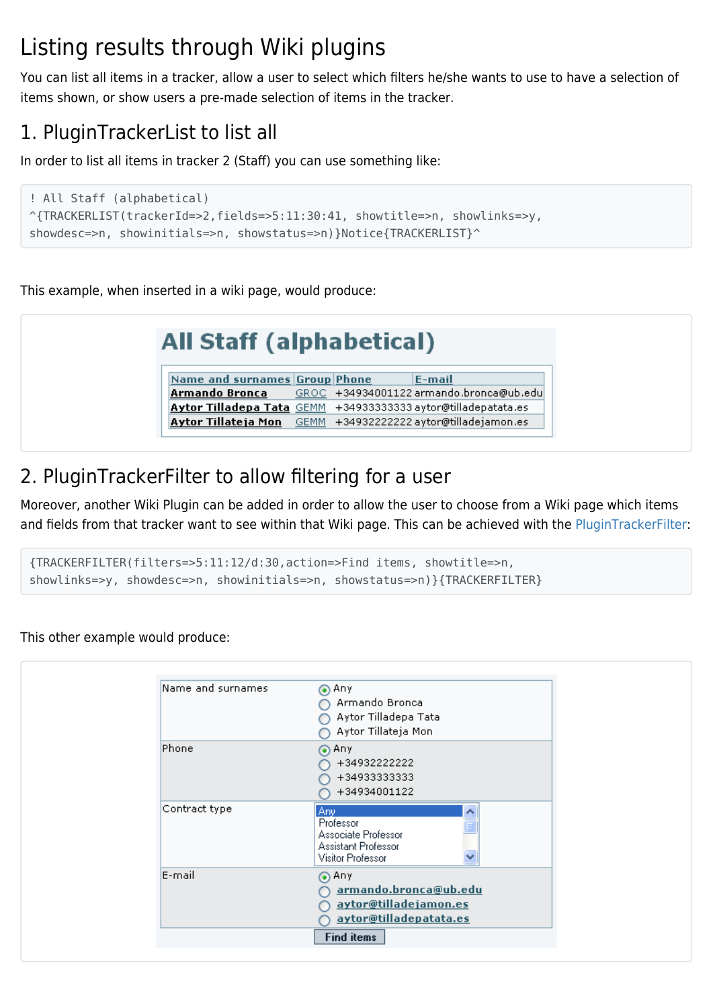## Listing results through Wiki plugins

You can list all items in a tracker, allow a user to select which filters he/she wants to use to have a selection of items shown, or show users a pre-made selection of items in the tracker.

## 1. PluginTrackerList to list all

In order to list all items in tracker 2 (Staff) you can use something like:

```
! All Staff (alphabetical)
^{TRACKERLIST(trackerId=>2,fields=>5:11:30:41, showtitle=>n, showlinks=>y,
showdesc=>n, showinitials=>n, showstatus=>n)}Notice{TRACKERLIST}^
```
This example, when inserted in a wiki page, would produce:

| <b>All Staff (alphabetical)</b>                               |  |                                                        |
|---------------------------------------------------------------|--|--------------------------------------------------------|
| Name and surnames Group Phone                                 |  | E-mail                                                 |
|                                                               |  | Armando Bronca GROC +34934001122 armando.bronca@ub.edu |
| Aytor Tilladepa Tata GEMM +34933333333 aytor@tilladepatata.es |  |                                                        |
| Aytor Tillateja Mon  GEMM +34932222222 aytor@tilladejamon.es  |  |                                                        |
|                                                               |  |                                                        |

## 2. PluginTrackerFilter to allow filtering for a user

Moreover, another Wiki Plugin can be added in order to allow the user to choose from a Wiki page which items and fields from that tracker want to see within that Wiki page. This can be achieved with the [PluginTrackerFilter:](https://doc.tiki.org/PluginTrackerFilter)

```
{TRACKERFILTER(filters=>5:11:12/d:30,action=>Find items, showtitle=>n,
showlinks=>y, showdesc=>n, showinitials=>n, showstatus=>n)}{TRACKERFILTER}
```
This other example would produce:

| Phone<br>$\odot$ Any<br>+34932222222<br>+34933333333<br>+34934001122<br>Contract type<br>  Anyl<br>ㅅ<br>Professor<br>Associate Professor<br>Assistant Professor<br>Visitor Professor<br>٧<br>E-mail<br>$\odot$ Any<br>armando.bronca@ub.edu<br>aytor@tilladejamon.es<br>aytor@tilladepatata.es | Name and surnames | $\odot$ Any<br>Armando Bronca<br>Aytor Tilladepa Tata<br>Aytor Tillateja Mon |
|------------------------------------------------------------------------------------------------------------------------------------------------------------------------------------------------------------------------------------------------------------------------------------------------|-------------------|------------------------------------------------------------------------------|
|                                                                                                                                                                                                                                                                                                |                   |                                                                              |
|                                                                                                                                                                                                                                                                                                |                   |                                                                              |
|                                                                                                                                                                                                                                                                                                |                   |                                                                              |